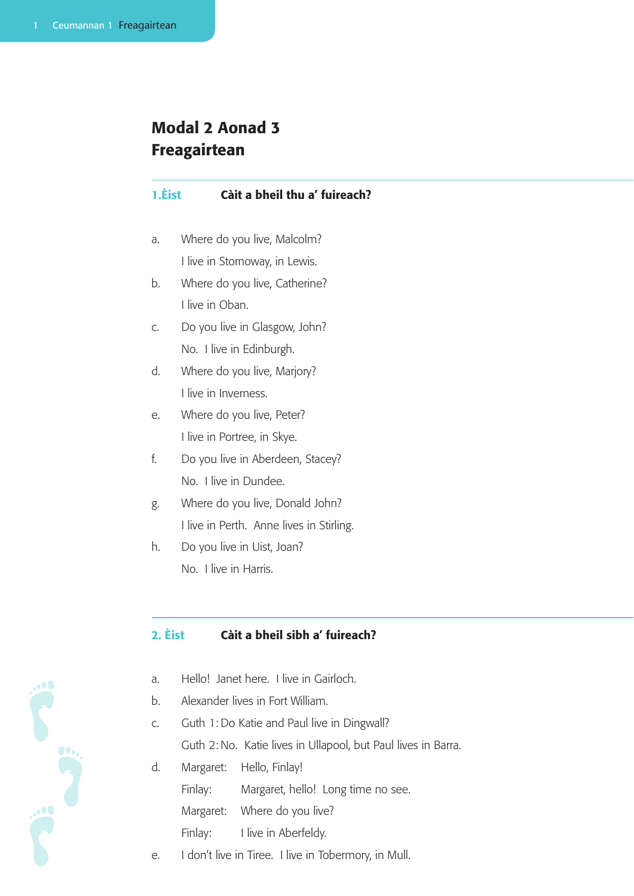# Modal 2 Aonad 3 Freagairtean

# 1.Èist Càit a bheil thu a' fuireach?

- a. Where do you live, Malcolm? I live in Stornoway, in Lewis.
- b. Where do you live, Catherine? I live in Oban.
- c. Do you live in Glasgow, John? No. I live in Edinburgh.
- d. Where do you live, Marjory? I live in Inverness.
- e. Where do you live, Peter? I live in Portree, in Skye.
- f. Do you live in Aberdeen, Stacey? No. I live in Dundee.
- g. Where do you live, Donald John? I live in Perth. Anne lives in Stirling.
- h. Do you live in Uist, Joan? No. I live in Harris.

# 2. Èist Càit a bheil sibh a' fuireach?

- a. Hello! Janet here. I live in Gairloch.
- b. Alexander lives in Fort William.

**See 3** 

c. Guth 1: Do Katie and Paul live in Dingwall?

Guth 2: No. Katie lives in Ullapool, but Paul lives in Barra.

- d. Margaret: Hello, Finlay! Finlay: Margaret, hello! Long time no see. Margaret: Where do you live? Finlay: I live in Aberfeldy.
- e. I don't live in Tiree. I live in Tobermory, in Mull.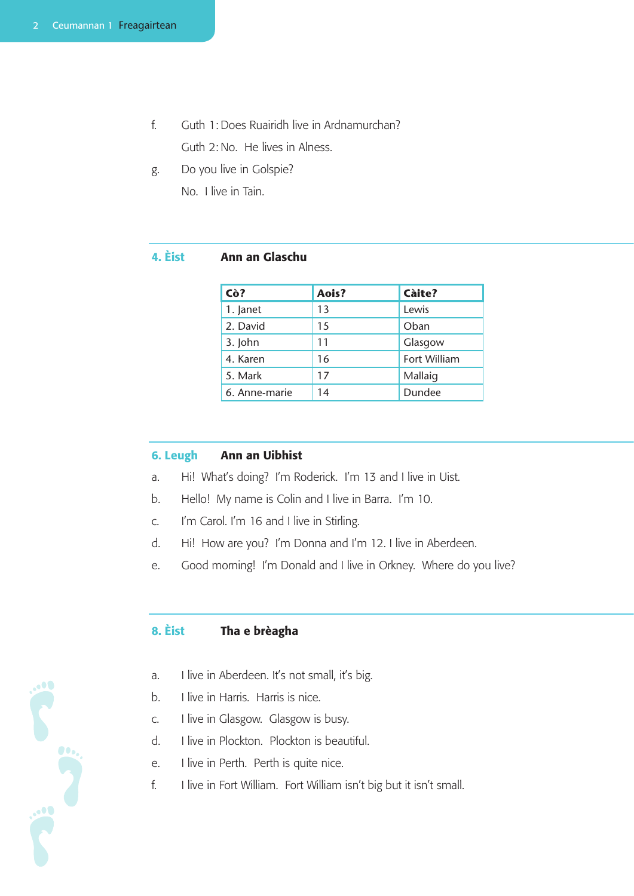- f. Guth 1: Does Ruairidh live in Ardnamurchan? Guth 2: No. He lives in Alness.
- g. Do you live in Golspie? No. I live in Tain.

#### 4. Èist Ann an Glaschu

| Cò?           | Aois? | <b>Càite?</b> |
|---------------|-------|---------------|
| 1. Janet      | 13    | Lewis         |
| 2. David      | 15    | Oban          |
| 3. John       | 11    | Glasgow       |
| 4. Karen      | 16    | Fort William  |
| 5. Mark       | 17    | Mallaig       |
| 6. Anne-marie | 14    | Dundee        |

#### 6. Leugh Ann an Uibhist

- a. Hi! What's doing? I'm Roderick. I'm 13 and I live in Uist.
- b. Hello! My name is Colin and I live in Barra. I'm 10.
- c. I'm Carol. I'm 16 and I live in Stirling.
- d. Hi! How are you? I'm Donna and I'm 12. I live in Aberdeen.
- e. Good morning! I'm Donald and I live in Orkney. Where do you live?

# 8. Èist Tha e brèagha

- a. I live in Aberdeen. It's not small, it's big.
- b. I live in Harris. Harris is nice.
- c. I live in Glasgow. Glasgow is busy.
- d. I live in Plockton. Plockton is beautiful.
- e. I live in Perth. Perth is quite nice.

rie die

f. I live in Fort William. Fort William isn't big but it isn't small.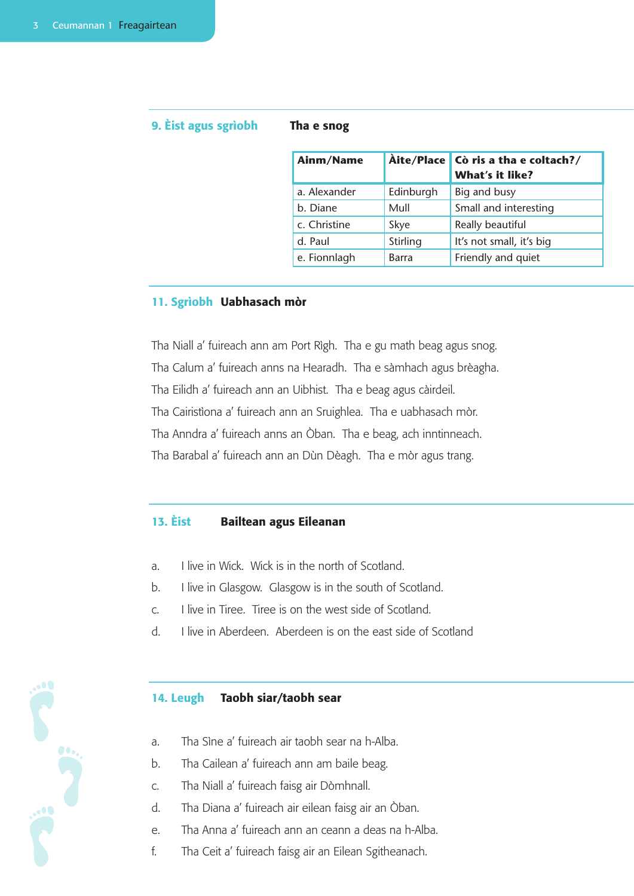Service Supply

## 9. Èist agus sgrìobh Tha e snog

| Ainm/Name    |              | Àite/Place   Cò ris a tha e coltach?/<br><b>What's it like?</b> |
|--------------|--------------|-----------------------------------------------------------------|
| a. Alexander | Edinburgh    | Big and busy                                                    |
| b. Diane     | Mull         | Small and interesting                                           |
| c. Christine | Skye         | Really beautiful                                                |
| d. Paul      | Stirling     | It's not small, it's big                                        |
| e. Fionnlagh | <b>Barra</b> | Friendly and quiet                                              |

#### 11. Sgrìobh Uabhasach mòr

Tha Niall a' fuireach ann am Port Rìgh. Tha e gu math beag agus snog. Tha Calum a' fuireach anns na Hearadh. Tha e sàmhach agus brèagha. Tha Eilidh a' fuireach ann an Uibhist. Tha e beag agus càirdeil. Tha Cairistìona a' fuireach ann an Sruighlea. Tha e uabhasach mòr. Tha Anndra a' fuireach anns an Òban. Tha e beag, ach inntinneach. Tha Barabal a' fuireach ann an Dùn Dèagh. Tha e mòr agus trang.

## 13. Èist Bailtean agus Eileanan

- a. I live in Wick. Wick is in the north of Scotland.
- b. I live in Glasgow. Glasgow is in the south of Scotland.
- c. I live in Tiree. Tiree is on the west side of Scotland.
- d. I live in Aberdeen. Aberdeen is on the east side of Scotland

#### 14. Leugh Taobh siar/taobh sear

- a. Tha Sìne a' fuireach air taobh sear na h-Alba.
- b. Tha Cailean a' fuireach ann am baile beag.
- c. Tha Niall a' fuireach faisg air Dòmhnall.
- d. Tha Diana a' fuireach air eilean faisg air an Òban.
- e. Tha Anna a' fuireach ann an ceann a deas na h-Alba.
- f. Tha Ceit a' fuireach faisg air an Eilean Sgitheanach.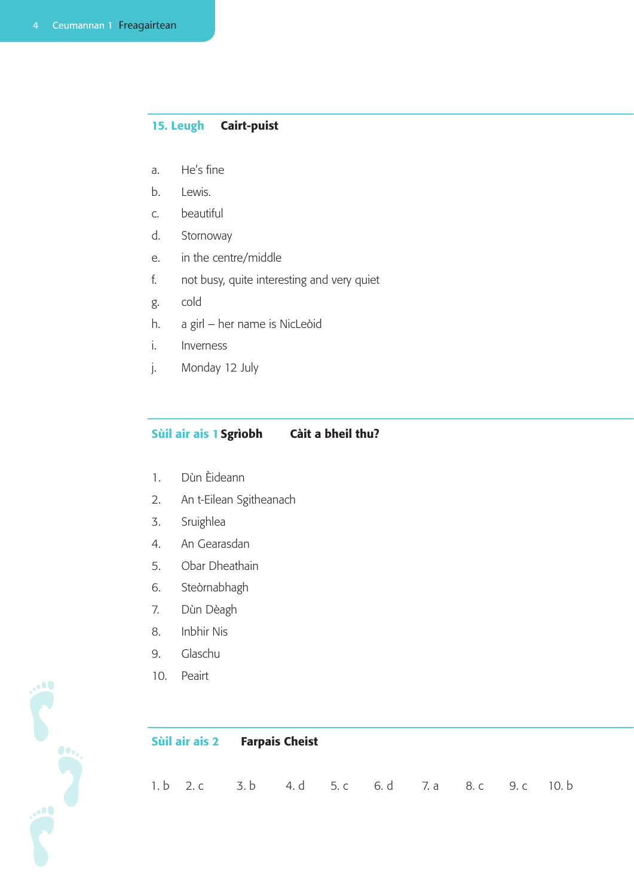## 15. Leugh Cairt-puist

- a. He's fine
- b. Lewis.
- c. beautiful
- d. Stornoway
- e. in the centre/middle
- f. not busy, quite interesting and very quiet
- g. cold
- h. a girl her name is NicLeòid
- i. Inverness
- j. Monday 12 July

## Sùil air ais 1Sgrìobh Càit a bheil thu?

- 1. Dùn Èideann
- 2. An t-Eilean Sgitheanach
- 3. Sruighlea
- 4. An Gearasdan
- 5. Obar Dheathain
- 6. Steòrnabhagh
- 7. Dùn Dèagh
- 8. Inbhir Nis
- 9. Glaschu
- 10. Peairt

|  | Sùil air ais 2 Farpais Cheist |                                                    |  |  |
|--|-------------------------------|----------------------------------------------------|--|--|
|  |                               | 1. b 2. c 3. b 4. d 5. c 6. d 7. a 8. c 9. c 10. b |  |  |

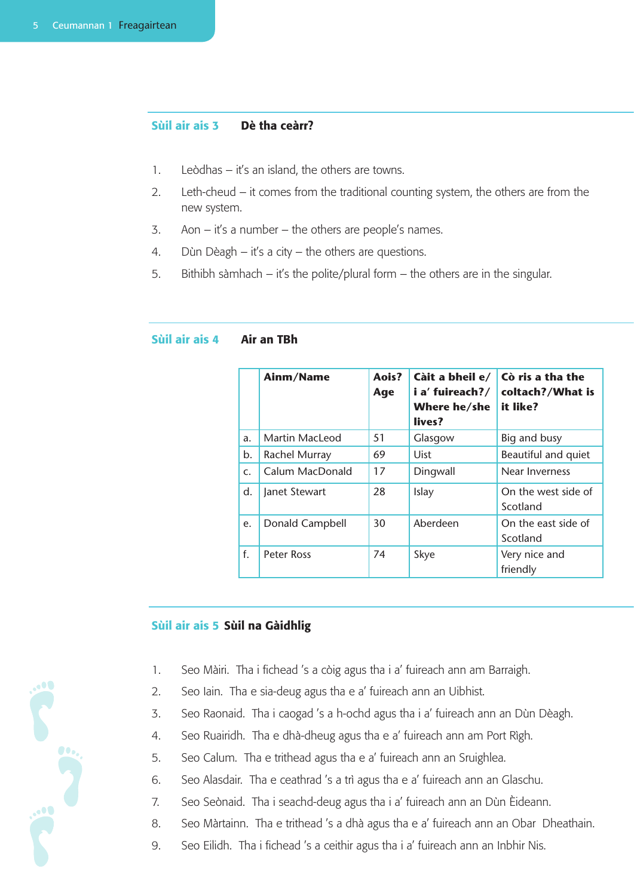#### Sùil air ais 3 Dè tha ceàrr?

- 1. Leòdhas it's an island, the others are towns.
- 2. Leth-cheud it comes from the traditional counting system, the others are from the new system.
- 3. Aon it's a number the others are people's names.
- 4. Dùn Dèagh it's a city the others are questions.
- 5. Bithibh sàmhach it's the polite/plural form the others are in the singular.

|             | Ainm/Name             | Aois?<br>Age | Càit a bheil e/<br>i a' fuireach?/<br>Where he/she<br>lives? | Cò ris a tha the<br>coltach?/What is<br>it like? |
|-------------|-----------------------|--------------|--------------------------------------------------------------|--------------------------------------------------|
| a.          | <b>Martin MacLeod</b> | 51           | Glasgow                                                      | Big and busy                                     |
| b.          | Rachel Murray         | 69           | <b>Uist</b>                                                  | Beautiful and quiet                              |
| $C_{\star}$ | Calum MacDonald       | 17           | Dingwall                                                     | Near Inverness                                   |
| d.          | Janet Stewart         | 28           | Islay                                                        | On the west side of<br>Scotland                  |
| e.          | Donald Campbell       | 30           | Aberdeen                                                     | On the east side of<br>Scotland                  |
| f.          | <b>Peter Ross</b>     | 74           | Skye                                                         | Very nice and<br>friendly                        |

#### Sùil air ais 4 Air an TBh

#### Sùil air ais 5 Sùil na Gàidhlig

- 1. Seo Màiri. Tha i fichead 's a còig agus tha i a' fuireach ann am Barraigh.
- 2. Seo Iain. Tha e sia-deug agus tha e a' fuireach ann an Uibhist.
- 3. Seo Raonaid. Tha i caogad 's a h-ochd agus tha i a' fuireach ann an Dùn Dèagh.
- 4. Seo Ruairidh. Tha e dhà-dheug agus tha e a' fuireach ann am Port Rìgh.
- 5. Seo Calum. Tha e trithead agus tha e a' fuireach ann an Sruighlea.
- 6. Seo Alasdair. Tha e ceathrad 's a trì agus tha e a' fuireach ann an Glaschu.
- 7. Seo Seònaid. Tha i seachd-deug agus tha i a' fuireach ann an Dùn Èideann.
- 8. Seo Màrtainn. Tha e trithead 's a dhà agus tha e a' fuireach ann an Obar Dheathain.
- 9. Seo Eilidh. Tha i fichead 's a ceithir agus tha i a' fuireach ann an Inbhir Nis.